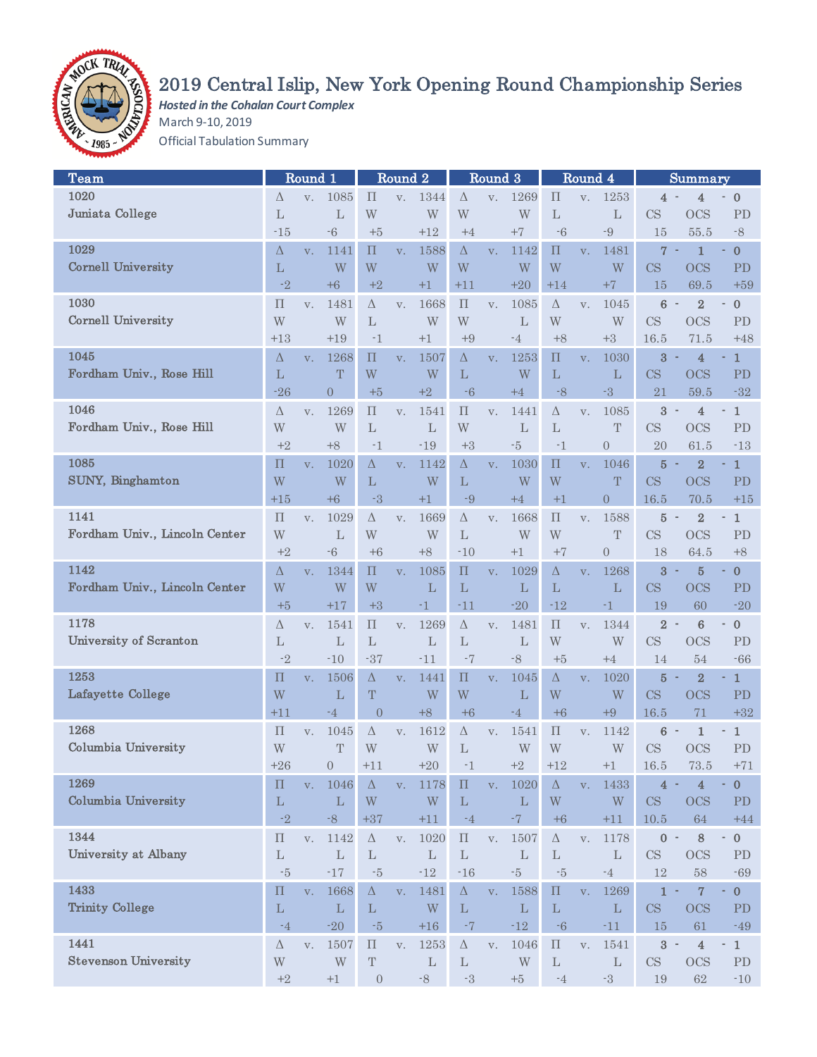

# 2019 Central Islip, New York Opening Round Championship Series

*Hosted in the Cohalan Court Complex* March 9-10, 2019 Official Tabulation Summary

| Team                          |                    | Round 1        |                |                    | Round <sub>2</sub> |                |                    | Round 3        |                         |                    | Round 4        |                |                                            | Summary                 |                                                  |
|-------------------------------|--------------------|----------------|----------------|--------------------|--------------------|----------------|--------------------|----------------|-------------------------|--------------------|----------------|----------------|--------------------------------------------|-------------------------|--------------------------------------------------|
| 1020                          | Δ                  | V.             | 1085           | $\Pi$              | V.                 | 1344           | Δ                  | V.             | 1269                    | $\prod$            | V.             | 1253           | 4                                          | 4                       | $\mathbf{0}$                                     |
| Juniata College               | $\mathbf{L}$       |                | L              | W                  |                    | W              | W                  |                | W                       | L                  |                | $\mathbf{L}$   | CS                                         | <b>OCS</b>              | PD                                               |
|                               | $-15$              |                | $-6$           | $+5$               |                    | $+12$          | $+4$               |                | $+7$                    | $-6$               |                | $-9$           | 15                                         | 55.5                    | $-8$                                             |
| 1029                          | Δ                  |                | 1141           | $\Pi$              |                    | 1588           | $\Delta$           |                | 1142                    | $\prod$            |                | 1481           | $\overline{7}$                             | $\mathbf{1}$<br>$\sim$  | $\bf{0}$<br>٠                                    |
|                               |                    | V.             |                |                    | V.                 |                |                    | V.             |                         |                    | V.             |                |                                            |                         |                                                  |
| <b>Cornell University</b>     | $\mathbf{L}$       |                | W              | W                  |                    | W              | W                  |                | W                       | W                  |                | W              | CS                                         | <b>OCS</b>              | <b>PD</b>                                        |
|                               | $-2$               |                | $+6$           | $+2$               |                    | $+1$           | $+11$              |                | $+20$                   | $+14$              |                | $+7$           | 15                                         | 69.5                    | $+59$                                            |
| 1030                          | $\prod$            | V.             | 1481           | Δ                  | V.                 | 1668           | $\prod$            | V.             | 1085                    | $\Delta$           | V.             | 1045           | $\bf 6$                                    | $\overline{2}$          | $\boldsymbol{0}$<br>$\qquad \qquad \blacksquare$ |
| <b>Cornell University</b>     | W                  |                | W              | $\mathbf{L}$       |                    | W              | W                  |                | $\mathbf{L}$            | W                  |                | W              | CS                                         | <b>OCS</b>              | PD                                               |
|                               | $+13$              |                | $+19$          | $-1$               |                    | $+1$           | $+9$               |                | $-4$                    | $+8$               |                | $+3$           | 16.5                                       | 71.5                    | $+48$                                            |
| 1045                          | $\Delta$           | V <sub>1</sub> | 1268           | $\boldsymbol{\Pi}$ | V <sub>1</sub>     | 1507           | $\Delta$           | V.             | 1253                    | $\Pi$              | V.             | 1030           | $\mathbf{3}$                               | 4                       | $\mathbf{1}$                                     |
| Fordham Univ., Rose Hill      | L                  |                | T              | W                  |                    | W              | L                  |                | W                       | L                  |                | $\mathbf{L}$   | <b>CS</b>                                  | <b>OCS</b>              | PD                                               |
|                               | $-26$              |                | $\overline{0}$ | $+5$               |                    | $+2$           | $-6$               |                | $+4$                    | $-8$               |                | $-3$           | 21                                         | 59.5                    | $-32$                                            |
| 1046                          | Δ                  | V.             | 1269           | $\prod$            | V.                 | 1541           | $\prod$            | V.             | 1441                    | Δ                  | V.             | 1085           | 3 <sup>°</sup><br>$\overline{\phantom{a}}$ | 4                       | $\mathbf{1}$<br>$\blacksquare$                   |
| Fordham Univ., Rose Hill      | W                  |                | W              |                    |                    |                | W                  |                |                         |                    |                |                | $\mathbf{CS}$                              |                         |                                                  |
|                               |                    |                |                | $\mathbf{L}$       |                    | $\mathbf{L}$   |                    |                | $\mathbf{L}$            | $\mathbf{L}$       |                | $\mathbf T$    |                                            | <b>OCS</b>              | <b>PD</b>                                        |
|                               | $+2$               |                | $+8$           | $-1$               |                    | $-19$          | $+3$               |                | $\text{-}5$             | $-1$               |                | $\overline{0}$ | 20                                         | 61.5                    | $-13$                                            |
| 1085                          | $\prod$            | V.             | 1020           | Δ                  | V.                 | 1142           | $\Delta$           | V.             | 1030                    | $\prod$            | V.             | 1046           | $\overline{5}$                             | $\overline{2}$          | $\mathbf 1$                                      |
| SUNY, Binghamton              | W                  |                | W              | L                  |                    | W              | L                  |                | W                       | W                  |                | T              | CS                                         | <b>OCS</b>              | PD                                               |
|                               | $+15$              |                | $+6$           | $-3$               |                    | $+1$           | $-9$               |                | $+4$                    | $+1$               |                | $\overline{0}$ | 16.5                                       | 70.5                    | $+15$                                            |
| 1141                          | $\prod$            | V.             | 1029           | $\Delta$           | V.                 | 1669           | $\Delta$           | V.             | 1668                    | $\boldsymbol{\Pi}$ | V.             | 1588           | $5 -$                                      | $\overline{2}$          | $\mathbf{1}$                                     |
| Fordham Univ., Lincoln Center | W                  |                | L              | W                  |                    | W              | L                  |                | W                       | W                  |                | T              | <b>CS</b>                                  | <b>OCS</b>              | PD                                               |
|                               | $+2$               |                | $-6$           | $+6$               |                    | $+8$           | $-10$              |                | $+1$                    | $+7$               |                | $\overline{0}$ | 18                                         | 64.5                    | $+8$                                             |
| 1142                          | $\Delta$           | V.             | 1344           | $\prod$            | V.                 | 1085           | $\prod$            | V.             | 1029                    | $\Delta$           | V.             | 1268           | $\overline{\mathbf{3}}$                    | $\overline{5}$<br>٠     | $\bf{0}$<br>٠                                    |
| Fordham Univ., Lincoln Center | W                  |                | W              | W                  |                    | $\mathbf{L}$   | L                  |                | L                       | L                  |                | L              | CS                                         | <b>OCS</b>              | <b>PD</b>                                        |
|                               |                    |                | $+17$          | $+3$               |                    | $-1$           | $-11$              |                | $-20$                   | $-12$              |                | $-1$           | 19                                         | 60                      |                                                  |
|                               | $+5$               |                |                |                    |                    |                |                    |                |                         |                    |                |                |                                            |                         | $-20$                                            |
| 1178                          | Δ                  | V.             | 1541           | $\prod$            | V.                 | 1269           | $\Delta$           | V.             | 1481                    | $\prod$            | V.             | 1344           | $\overline{2}$<br>$\sim$                   | $\boldsymbol{6}$        | $\boldsymbol{0}$<br>$\frac{1}{2}$                |
| University of Scranton        | L                  |                | $\mathbf{L}$   | $\mathbf L$        |                    | $\mathbf{L}$   | L                  |                | $\mathbf{L}$            | W                  |                | W              | $\mathbf{CS}$                              | <b>OCS</b>              | PD                                               |
|                               | $-2$               |                | $-10$          | $-37$              |                    | $-11$          | $-7$               |                | $-8$                    | $+5$               |                | $+4$           | 14                                         | 54                      | $-66$                                            |
| 1253                          | $\prod$            | V.             | 1506           | $\Delta$           | V <sub>1</sub>     | 1441           | $\prod$            | V.             | 1045                    | $\Delta$           | V.             | 1020           | $\overline{5}$                             | $\overline{2}$          | $\mathbf{1}$                                     |
| Lafayette College             | W                  |                | $\mathbf{L}$   | T                  |                    | W              | W                  |                | L                       | W                  |                | W              | CS                                         | <b>OCS</b>              | PD                                               |
|                               | +11                |                | $-4$           | $\overline{0}$     |                    | $+8$           | $+6$               |                | $-4$                    | $+6$               |                | $+9$           | 16.5                                       | 71                      | $+32$                                            |
| 1268                          | $\prod$            | V.             | 1045           | $\Delta$           | V.                 | 1612           | $\Delta$           | V.             | 1541                    | $\prod$            | V.             | 1142           | 6<br>$\overline{\phantom{a}}$              | 1                       | $\,1$<br>$\overline{\phantom{a}}$                |
| Columbia University           | W                  |                | T              | W                  |                    | W              | L                  |                | W                       | W                  |                | W              | CS                                         | <b>OCS</b>              | <b>PD</b>                                        |
|                               | $+26$              |                | $\theta$       | $+11$              |                    | $+20$          | -1                 |                | $+2$                    | $+12$              |                | $+1$           | 16.5                                       | 73.5                    | $+71$                                            |
| 1269                          | $\Pi$              | V <sub>1</sub> | 1046           | $\Delta$           | V <sub>1</sub>     | 1178           | $\boldsymbol{\Pi}$ | V <sub>1</sub> | 1020                    | $\Delta$           | V <sub>1</sub> | 1433           | 4                                          | 4                       | $\pmb{0}$                                        |
| <b>Columbia University</b>    | $\mathbf L$        |                | L              | W                  |                    | W              | $\mathbf{L}$       |                | $\mathbf L$             | W                  |                | W              | CS                                         | OCS                     | ${\rm PD}$                                       |
|                               |                    |                |                |                    |                    |                |                    |                |                         |                    |                |                |                                            |                         |                                                  |
|                               | $-2$               |                | $-8$           | $+37$              |                    | $+11$          | $-4$               |                | $^{\circ}7$             | $+6$               |                | $+11$          | $10.5\,$                                   | 64                      | $+44$                                            |
| 1344                          | $\boldsymbol{\Pi}$ | V.             | 1142           | $\Delta$           | V.                 | 1020           | $\boldsymbol{\Pi}$ | V <sub>1</sub> | 1507                    | $\Delta$           | V.             | 1178           | $0 -$                                      | 8                       | $\boldsymbol{0}$<br>۰,                           |
| University at Albany          | $\mathbf{L}$       |                | $\mathbf{L}$   | $\mathbf{L}$       |                    | $\mathbf L$    | $\mathbf L$        |                | $\mathbf L$             | $\mathbf{L}$       |                | $\mathbf L$    | $\mathop{\rm CS}\nolimits$                 | <b>OCS</b>              | PD                                               |
|                               | $-5$               |                | $-17$          | $-5$               |                    | $\textbf{-12}$ | $-16$              |                | $-5$                    | $-5$               |                | $-4$           | 12                                         | $58\,$                  | $-69$                                            |
| 1433                          | $\prod$            | V.             | 1668           | $\Delta$           | V.                 | 1481           | $\Delta$           | V.             | 1588                    | $\boldsymbol{\Pi}$ | V <sub>1</sub> | 1269           | $1 -$                                      | $\overline{7}$          | $\mathbf{0}$<br>$\blacksquare$                   |
| <b>Trinity College</b>        | $\mathbf{L}$       |                | $\mathbf L$    | $\mathbf L$        |                    | W              | L                  |                | $\mathbf{L}$            | $\mathbf L$        |                | $\mathbf L$    | CS                                         | <b>OCS</b>              | ${\rm PD}$                                       |
|                               | $-4$               |                | $-20\,$        | $^{\circ}5$        |                    | $+16$          | $-7$               |                | $-12$                   | $\mbox{-} 6$       |                | $-11$          | 15                                         | 61                      | $-49$                                            |
| 1441                          | $\Delta$           | V.             | 1507           | $\boldsymbol{\Pi}$ | V.                 | 1253           | $\Delta$           | V.             | 1046                    | $\boldsymbol{\Pi}$ | V.             | 1541           | $3 -$                                      | $\overline{\mathbf{4}}$ | $1\,$<br>$\overline{\phantom{a}}$                |
| <b>Stevenson University</b>   | W                  |                | W              | $\mathbf T$        |                    | $\mathbf{L}$   | $\mathbf{L}$       |                | $\ensuremath{\text{W}}$ | $\mathbf{L}$       |                | $\mathbf L$    | $\mathop{\rm CS}\nolimits$                 | <b>OCS</b>              | PD                                               |
|                               | $+2$               |                | $+1$           | $\boldsymbol{0}$   |                    | $\mbox{-}8$    | $\text{--}3$       |                | $+5$                    | $-4$               |                | $\text{--}3$   | 19                                         | $62\,$                  | $-10$                                            |
|                               |                    |                |                |                    |                    |                |                    |                |                         |                    |                |                |                                            |                         |                                                  |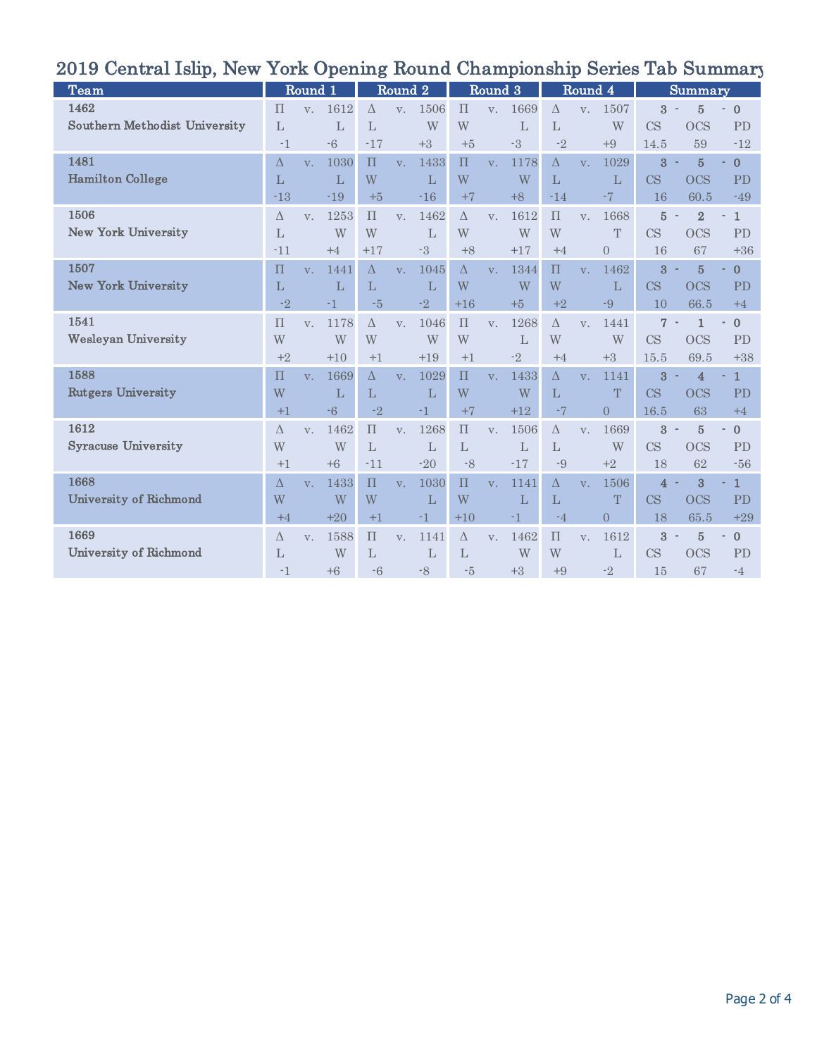| $\frac{1}{2}$                        |              |             | $101R$ $\Delta$ $\mu$ $\mu$ $\mu$ $\mu$ $\mu$ |              |                    | TACATTA      |           |                | <b>Andmhmmmm</b> |              | $\sim$         |                | ᆂᄣ                      |                          |                                |
|--------------------------------------|--------------|-------------|-----------------------------------------------|--------------|--------------------|--------------|-----------|----------------|------------------|--------------|----------------|----------------|-------------------------|--------------------------|--------------------------------|
| <b>Team</b>                          |              | Round 1     |                                               |              | Round <sub>2</sub> |              |           | Round 3        |                  |              | Round 4        |                |                         | Summary                  |                                |
| 1462                                 | $\Pi$        | V.          | 1612                                          | $\Delta$     | V.                 | 1506         | $\Pi$     | V.             | 1669             | $\wedge$     | V.             | 1507           | 3                       | 5                        | $\mathbf{0}$                   |
| <b>Southern Methodist University</b> | $\mathbf{L}$ |             | L                                             | $\mathbf{L}$ |                    | W            | W         |                | L                | $\mathbf{L}$ |                | W              | <b>CS</b>               | <b>OCS</b>               | <b>PD</b>                      |
|                                      | -1           |             | $-6$                                          | $-17$        |                    | $+3$         | $+5$      |                | $-3$             | $-2$         |                | $+9$           | 14.5                    | 59                       | $-12$                          |
| 1481                                 | Δ            | $V_{-}$     | 1030                                          | $\Pi$        | V.                 | 1433         | $\Pi$     | V.             | 1178             | $\Delta$     | V.             | 1029           | $\overline{3}$          | $\overline{5}$           | $\bf{0}$                       |
| <b>Hamilton College</b>              | $\mathbf{L}$ |             | $\mathbf{L}$                                  | W            |                    | $\mathbf{L}$ | W         |                | W                | L            |                | L              | <b>CS</b>               | <b>OCS</b>               | <b>PD</b>                      |
|                                      | $-13$        |             | $-19$                                         | $+5$         |                    | $-16$        | $+7$      |                | $+8$             | $-14$        |                | $-7$           | 16                      | 60.5                     | $-49$                          |
| 1506                                 | Δ            | V.          | 1253                                          | $\Pi$        | V.                 | 1462         | $\Delta$  | V.             | 1612             | $\Pi$        | V.             | 1668           | $\overline{5}$          | $\overline{2}$           | $\mathbf{1}$                   |
| <b>New York University</b>           | $\mathbf{L}$ |             | W                                             | W            |                    | $\mathbf{L}$ | W         |                | W                | W            |                | T              | <b>CS</b>               | <b>OCS</b>               | <b>PD</b>                      |
|                                      | $-11$        |             | $+4$                                          | $+17$        |                    | $-3$         | $+8$      |                | $+17$            | $+4$         |                | $\overline{0}$ | 16                      | 67                       | $+36$                          |
| 1507                                 | $\prod$      | $V_{-}$     | 1441                                          | $\Lambda$    | $V_{-}$            | 1045         | $\Delta$  | V <sub>1</sub> | 1344             | $\Pi$        | V <sub>1</sub> | 1462           | $\overline{\mathbf{3}}$ | $\overline{5}$           | $\bf{0}$                       |
| <b>New York University</b>           | L            |             | L                                             | L            |                    | L            | W         |                | W                | W            |                | L              | CS                      | <b>OCS</b>               | <b>PD</b>                      |
|                                      | $-2$         |             | $-1$                                          | $-5$         |                    | $-2$         | $+16$     |                | $+5$             | $+2$         |                | $-9$           | 10                      | 66.5                     | $+4$                           |
| 1541                                 | $\Pi$        | $V_{-}$     | 1178                                          | $\Lambda$    | V.                 | 1046         | $\prod$   | V.             | 1268             | $\Lambda$    | V.             | 1441           | $\overline{7}$          | $\mathbf{1}$             | $\mathbf{0}$                   |
| <b>Wesleyan University</b>           | W            |             | W                                             | W            |                    | W            | W         |                | L                | W            |                | W              | <b>CS</b>               | <b>OCS</b>               | PD                             |
|                                      | $+2$         |             | $+10$                                         | $+1$         |                    | $+19$        | $+1$      |                | $-2$             | $+4$         |                | $+3$           | 15.5                    | 69.5                     | $+38$                          |
| 1588                                 | $\Pi$        | $V_{\cdot}$ | 1669                                          | $\Delta$     | $V_{\cdot}$        | 1029         | $\Pi$     | V.             | 1433             | $\Delta$     | V.             | 1141           | $\overline{\mathbf{3}}$ | $\overline{4}$           | $\mathbf{1}$                   |
| <b>Rutgers University</b>            | W            |             | L                                             | L            |                    | L            | W         |                | W                | L            |                | T              | <b>CS</b>               | <b>OCS</b>               | <b>PD</b>                      |
|                                      | $+1$         |             | $-6$                                          | $-2$         |                    | $-1$         | $+7$      |                | $+12$            | $-7$         |                | $\overline{0}$ | 16.5                    | 63                       | $+4$                           |
| 1612                                 | $\Lambda$    | $V_{\cdot}$ | 1462                                          | $\Pi$        | $V_{\cdot}$        | 1268         | $\prod$   | V.             | 1506             | $\Lambda$    | V.             | 1669           | 3<br>$\sim$             | 5                        | $\overline{0}$<br>$\sim$       |
| <b>Syracuse University</b>           | W            |             | W                                             | L            |                    | L            | L         |                | L                | L            |                | W              | CS                      | <b>OCS</b>               | PD                             |
|                                      | $+1$         |             | $+6$                                          | $-11$        |                    | $-20$        | $-8$      |                | $-17$            | $-9$         |                | $+2$           | 18                      | 62                       | $-56$                          |
| 1668                                 | $\Lambda$    | $V_{\cdot}$ | 1433                                          | $\Pi$        | $V_{\cdot}$        | 1030         | $\Pi$     | V.             | 1141             | $\Delta$     | V.             | 1506           | $\overline{4}$          | 3                        | $\mathbf{1}$                   |
| University of Richmond               | W            |             | W                                             | W            |                    | L            | W         |                | L                | L            |                | T              | CS                      | <b>OCS</b>               | <b>PD</b>                      |
|                                      | $+4$         |             | $+20$                                         | $+1$         |                    | $-1$         | $+10$     |                | -1               | $-4$         |                | $\Omega$       | 18                      | 65.5                     | $+29$                          |
| 1669                                 | $\Lambda$    | V.          | 1588                                          | $\prod$      | V.                 | 1141         | $\Lambda$ | $V_{\cdot}$    | 1462             | $\prod$      | V.             | 1612           | 3                       | $\overline{5}$<br>$\sim$ | $\mathbf{0}$<br>$\blacksquare$ |
| University of Richmond               | L            |             | W                                             | L            |                    | L            | L         |                | W                | W            |                | L              | CS                      | <b>OCS</b>               | PD                             |
|                                      | $-1$         |             | $+6$                                          | $-6$         |                    | $-8$         | $-5$      |                | $+3$             | $+9$         |                | $-2$           | 15                      | 67                       | $-4$                           |

## 2019 Central Islip, New York Opening Round Championship Series Tab Summary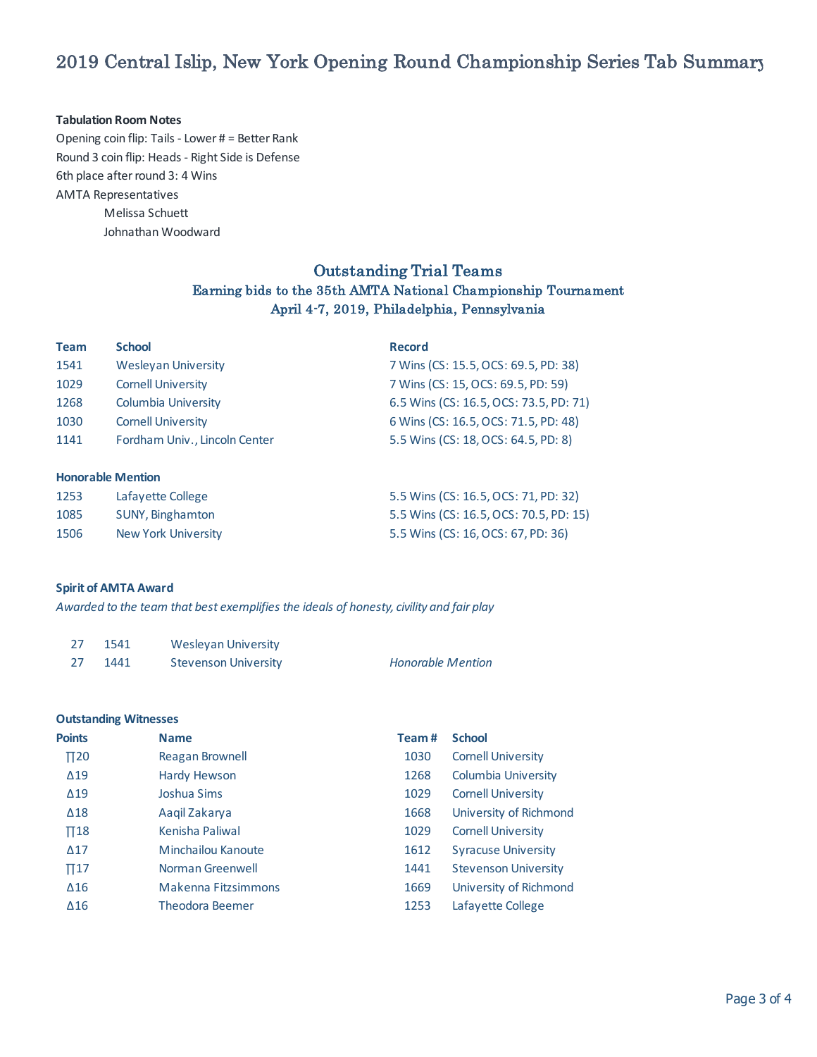## 2019 Central Islip, New York Opening Round Championship Series Tab Summary

#### **Tabulation Room Notes**

6th place after round 3: 4 Wins AMTA Representatives Melissa Schuett Johnathan Woodward Opening coin flip: Tails - Lower # = Better Rank Round 3 coin flip: Heads - Right Side is Defense

### Outstanding Trial Teams

### Earning bids to the 35th AMTA National Championship Tournament April 4-7, 2019, Philadelphia, Pennsylvania

| <b>Team</b> | <b>School</b>                 | <b>Record</b>                          |
|-------------|-------------------------------|----------------------------------------|
| 1541        | <b>Wesleyan University</b>    | 7 Wins (CS: 15.5, OCS: 69.5, PD: 38)   |
| 1029        | <b>Cornell University</b>     | 7 Wins (CS: 15, OCS: 69.5, PD: 59)     |
| 1268        | Columbia University           | 6.5 Wins (CS: 16.5, OCS: 73.5, PD: 71) |
| 1030        | <b>Cornell University</b>     | 6 Wins (CS: 16.5, OCS: 71.5, PD: 48)   |
| 1141        | Fordham Univ., Lincoln Center | 5.5 Wins (CS: 18, OCS: 64.5, PD: 8)    |
|             | <b>Honorable Mention</b>      |                                        |

| 1253 | Lafayette College   | 5.5 Wins (CS: 16.5, OCS: 71, PD: 32)   |
|------|---------------------|----------------------------------------|
| 1085 | SUNY, Binghamton    | 5.5 Wins (CS: 16.5, OCS: 70.5, PD: 15) |
| 1506 | New York University | 5.5 Wins (CS: 16, OCS: 67, PD: 36)     |

### **Spirit of AMTA Award**

*Awarded to the team that best exemplifies the ideals of honesty, civility and fair play*

| -27 | 1541 | Wesleyan University         |                          |
|-----|------|-----------------------------|--------------------------|
| -27 | 1441 | <b>Stevenson University</b> | <b>Honorable Mention</b> |

### **Outstanding Witnesses**

| <b>Points</b> | <b>Name</b>                | Team# | <b>School</b>               |
|---------------|----------------------------|-------|-----------------------------|
| $\Pi$ 20      | Reagan Brownell            | 1030  | <b>Cornell University</b>   |
| $\Delta$ 19   | <b>Hardy Hewson</b>        | 1268  | Columbia University         |
| $\Delta$ 19   | Joshua Sims                | 1029  | <b>Cornell University</b>   |
| $\Delta$ 18   | Aagil Zakarya              | 1668  | University of Richmond      |
| $\Pi$ 18      | Kenisha Paliwal            | 1029  | <b>Cornell University</b>   |
| $\Delta$ 17   | Minchailou Kanoute         | 1612  | <b>Syracuse University</b>  |
| $\Pi$ 17      | Norman Greenwell           | 1441  | <b>Stevenson University</b> |
| $\Delta 16$   | <b>Makenna Fitzsimmons</b> | 1669  | University of Richmond      |
| $\Delta 16$   | <b>Theodora Beemer</b>     | 1253  | Lafayette College           |